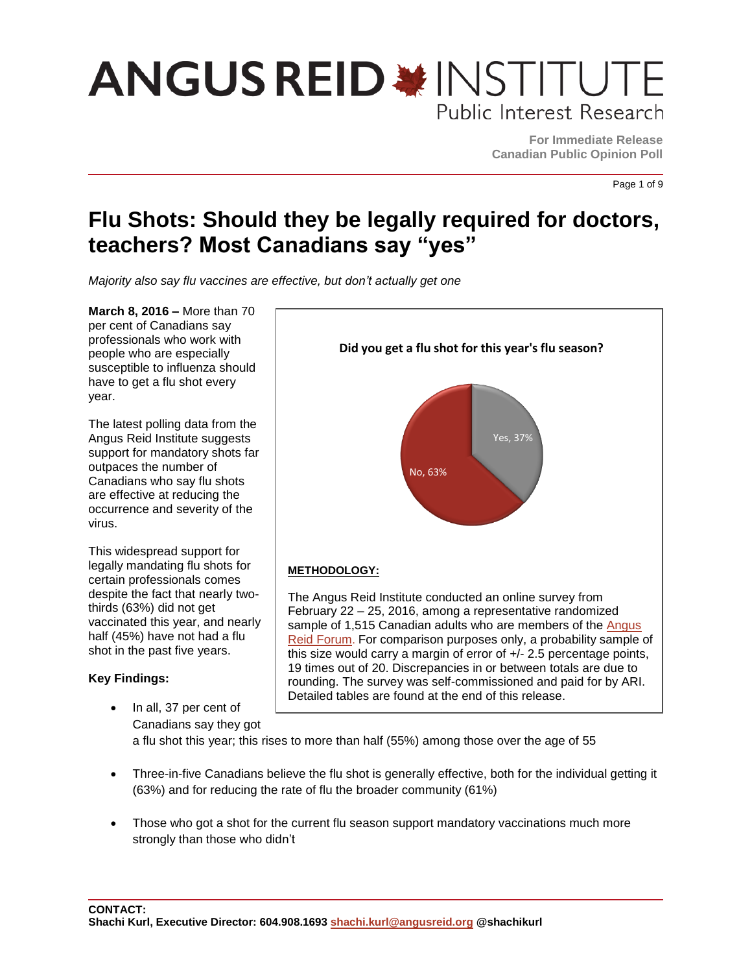**For Immediate Release Canadian Public Opinion Poll**

Yes, 37%

**Did you get a flu shot for this year's flu season?**

Page 1 of 9

### **Flu Shots: Should they be legally required for doctors, teachers? Most Canadians say "yes"**

*Majority also say flu vaccines are effective, but don't actually get one*

**March 8, 2016 –** More than 70 per cent of Canadians say professionals who work with people who are especially susceptible to influenza should have to get a flu shot every year.

The latest polling data from the Angus Reid Institute suggests support for mandatory shots far outpaces the number of Canadians who say flu shots are effective at reducing the occurrence and severity of the virus.

This widespread support for legally mandating flu shots for certain professionals comes despite the fact that nearly twothirds (63%) did not get vaccinated this year, and nearly half (45%) have not had a flu shot in the past five years.

#### **Key Findings:**

 In all, 37 per cent of The Angus Reid Institute conducted an online survey from February 22 – 25, 2016, among a representative randomized sample of 1,515 Canadian adults who are members of the Angus [Reid Forum](https://www.angusreidforum.com/). For comparison purposes only, a probability sample of this size would carry a margin of error of +/- 2.5 percentage points, 19 times out of 20. Discrepancies in or between totals are due to rounding. The survey was self-commissioned and paid for by ARI. Detailed tables are found at the end of this release.

No, 63%

Canadians say they got a flu shot this year; this rises to more than half (55%) among those over the age of 55

**METHODOLOGY:**

- Three-in-five Canadians believe the flu shot is generally effective, both for the individual getting it (63%) and for reducing the rate of flu the broader community (61%)
- Those who got a shot for the current flu season support mandatory vaccinations much more strongly than those who didn't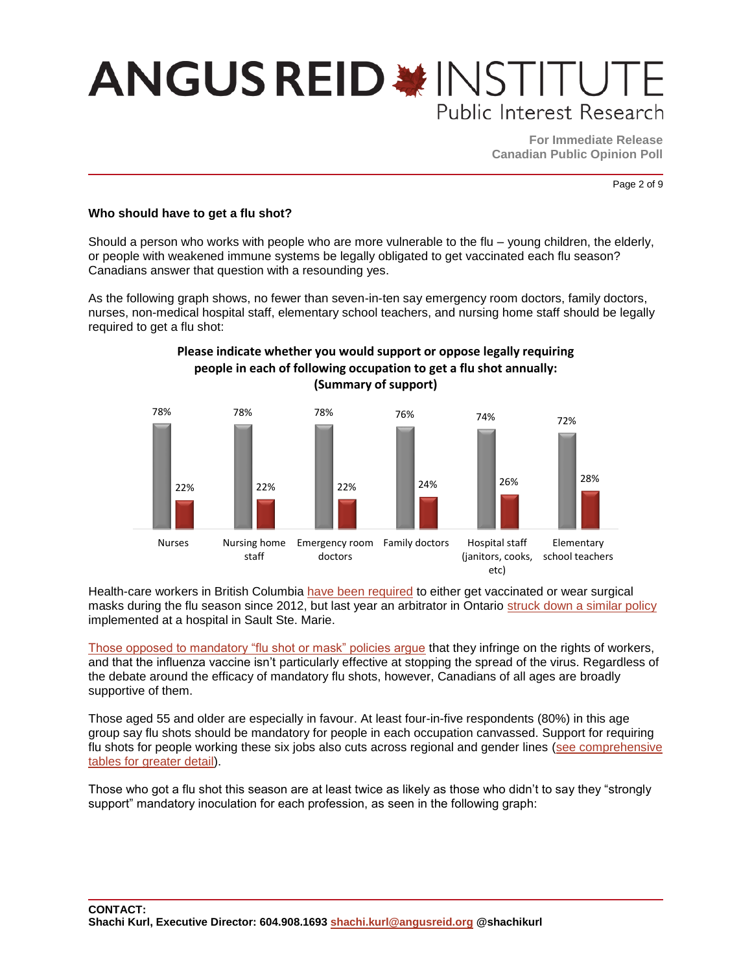**For Immediate Release Canadian Public Opinion Poll**

Page 2 of 9

#### **Who should have to get a flu shot?**

Should a person who works with people who are more vulnerable to the flu – young children, the elderly, or people with weakened immune systems be legally obligated to get vaccinated each flu season? Canadians answer that question with a resounding yes.

As the following graph shows, no fewer than seven-in-ten say emergency room doctors, family doctors, nurses, non-medical hospital staff, elementary school teachers, and nursing home staff should be legally required to get a flu shot:



### **Please indicate whether you would support or oppose legally requiring people in each of following occupation to get a flu shot annually:**

Health-care workers in British Columbia [have been required](http://www.metronews.ca/news/vancouver/2015/11/05/bcs-top-doctor-says-vaccinate-or-mask-policy-to-stay.html) to either get vaccinated or wear surgical masks during the flu season since 2012, but last year an arbitrator in Ontario [struck down a similar policy](http://www.theglobeandmail.com/news/national/union-says-ontario-nurses-cant-be-forced-to-wear-masks-in-flu-season/article26306631/) implemented at a hospital in Sault Ste. Marie.

[Those opposed to mandatory "flu shot or mask" policies argue](http://www.theglobeandmail.com/life/health-and-fitness/health/reality-check-why-an-expert-argues-against-flu-shots-for-health-care-workers/article21057766/) that they infringe on the rights of workers, and that the influenza vaccine isn't particularly effective at stopping the spread of the virus. Regardless of the debate around the efficacy of mandatory flu shots, however, Canadians of all ages are broadly supportive of them.

Those aged 55 and older are especially in favour. At least four-in-five respondents (80%) in this age group say flu shots should be mandatory for people in each occupation canvassed. Support for requiring flu shots for people working these six jobs also cuts across regional and gender lines [\(see comprehensive](http://angusreid.org/wp-content/uploads/2016/03/2016.02.25_Flu-ShotsReleaseTables.pdf)  [tables for greater detail\)](http://angusreid.org/wp-content/uploads/2016/03/2016.02.25_Flu-ShotsReleaseTables.pdf).

Those who got a flu shot this season are at least twice as likely as those who didn't to say they "strongly support" mandatory inoculation for each profession, as seen in the following graph: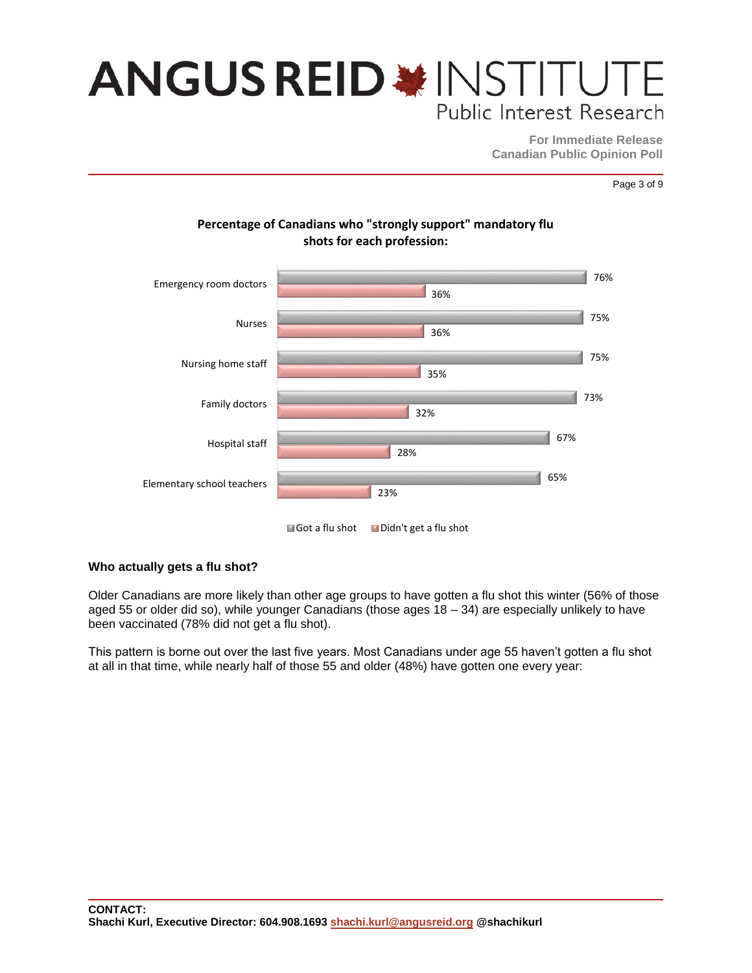**For Immediate Release Canadian Public Opinion Poll**

Page 3 of 9



### **Percentage of Canadians who "strongly support" mandatory flu**

#### **Who actually gets a flu shot?**

Older Canadians are more likely than other age groups to have gotten a flu shot this winter (56% of those aged 55 or older did so), while younger Canadians (those ages 18 – 34) are especially unlikely to have been vaccinated (78% did not get a flu shot).

This pattern is borne out over the last five years. Most Canadians under age 55 haven't gotten a flu shot at all in that time, while nearly half of those 55 and older (48%) have gotten one every year: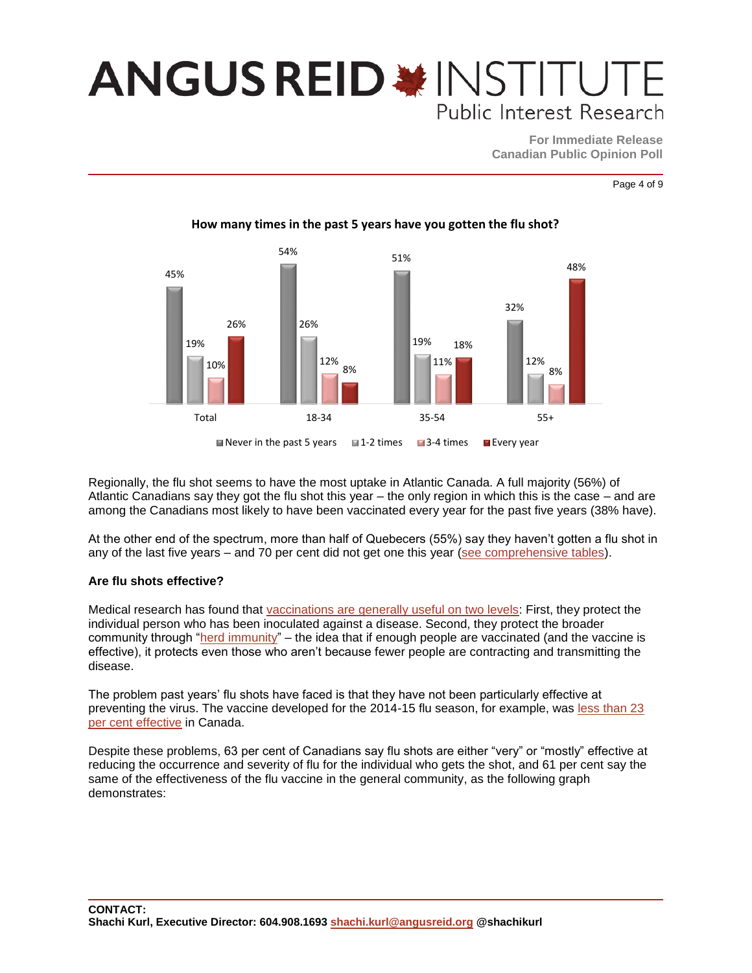**For Immediate Release Canadian Public Opinion Poll**

Page 4 of 9



Regionally, the flu shot seems to have the most uptake in Atlantic Canada. A full majority (56%) of Atlantic Canadians say they got the flu shot this year – the only region in which this is the case – and are among the Canadians most likely to have been vaccinated every year for the past five years (38% have).

At the other end of the spectrum, more than half of Quebecers (55%) say they haven't gotten a flu shot in any of the last five years – and 70 per cent did not get one this year [\(see comprehensive tables\)](http://angusreid.org/wp-content/uploads/2016/03/2016.02.25_Flu-ShotsReleaseTables.pdf).

#### **Are flu shots effective?**

Medical research has found that vaccinations are [generally useful on two levels:](http://healthycanadians.gc.ca/healthy-living-vie-saine/immunization-immunisation/coverage-couverture/index-eng.php) First, they protect the individual person who has been inoculated against a disease. Second, they protect the broader community through ["herd immunity"](http://www.vaccines.gov/basics/protection/) – the idea that if enough people are vaccinated (and the vaccine is effective), it protects even those who aren't because fewer people are contracting and transmitting the disease.

The problem past years' flu shots have faced is that they have not been particularly effective at preventing the virus. The vaccine developed for the 2014-15 flu season, for example, was [less than 23](http://www.cbc.ca/news/health/flu-vaccine-only-23-effective-in-u-s-even-less-effective-in-canada-1.2902091)  [per cent effective](http://www.cbc.ca/news/health/flu-vaccine-only-23-effective-in-u-s-even-less-effective-in-canada-1.2902091) in Canada.

Despite these problems, 63 per cent of Canadians say flu shots are either "very" or "mostly" effective at reducing the occurrence and severity of flu for the individual who gets the shot, and 61 per cent say the same of the effectiveness of the flu vaccine in the general community, as the following graph demonstrates: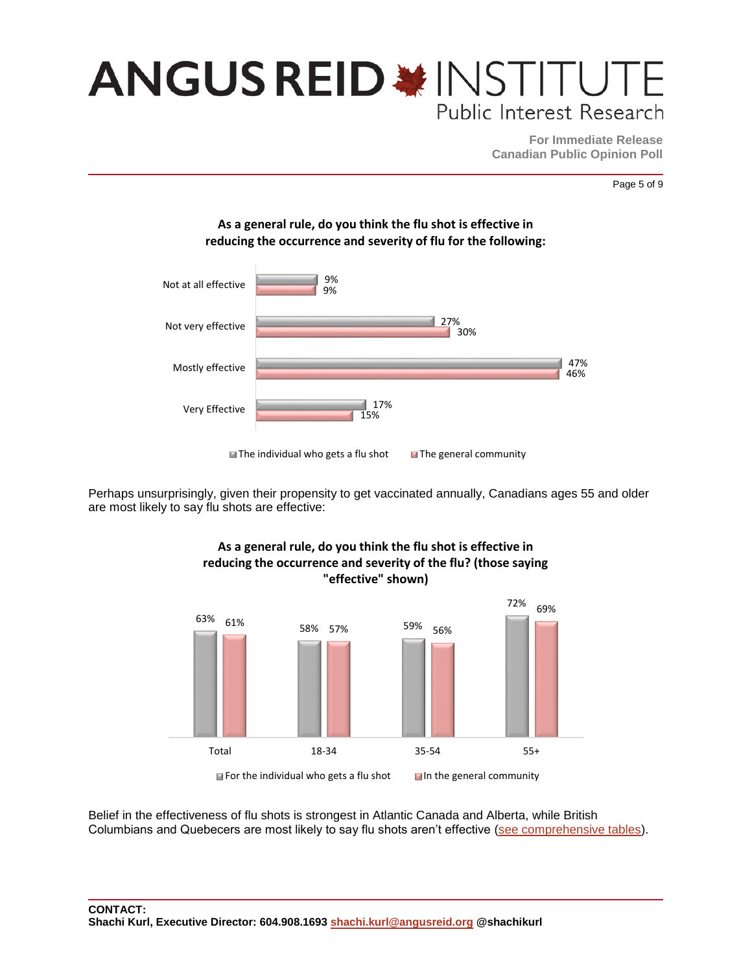**For Immediate Release Canadian Public Opinion Poll**

Page 5 of 9



**As a general rule, do you think the flu shot is effective in** 

Perhaps unsurprisingly, given their propensity to get vaccinated annually, Canadians ages 55 and older are most likely to say flu shots are effective:



Belief in the effectiveness of flu shots is strongest in Atlantic Canada and Alberta, while British Columbians and Quebecers are most likely to say flu shots aren't effective [\(see comprehensive tables\)](http://angusreid.org/wp-content/uploads/2016/03/2016.02.25_Flu-ShotsReleaseTables.pdf).

### **As a general rule, do you think the flu shot is effective in reducing the occurrence and severity of the flu? (those saying**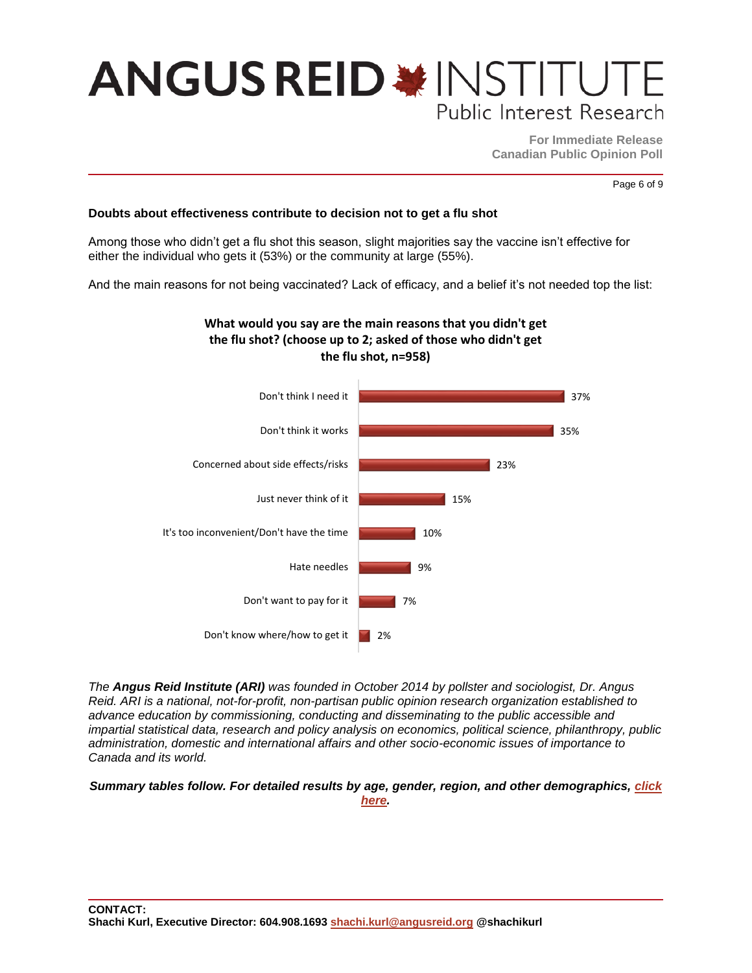**For Immediate Release Canadian Public Opinion Poll**

Page 6 of 9

#### **Doubts about effectiveness contribute to decision not to get a flu shot**

Among those who didn't get a flu shot this season, slight majorities say the vaccine isn't effective for either the individual who gets it (53%) or the community at large (55%).

And the main reasons for not being vaccinated? Lack of efficacy, and a belief it's not needed top the list:





*The Angus Reid Institute (ARI) was founded in October 2014 by pollster and sociologist, Dr. Angus Reid. ARI is a national, not-for-profit, non-partisan public opinion research organization established to advance education by commissioning, conducting and disseminating to the public accessible and impartial statistical data, research and policy analysis on economics, political science, philanthropy, public administration, domestic and international affairs and other socio-economic issues of importance to Canada and its world.*

#### *Summary tables follow. For detailed results by age, gender, region, and other demographics, [click](http://angusreid.org/wp-content/uploads/2016/03/2016.02.25_Flu-ShotsReleaseTables.pdf)  [here.](http://angusreid.org/wp-content/uploads/2016/03/2016.02.25_Flu-ShotsReleaseTables.pdf)*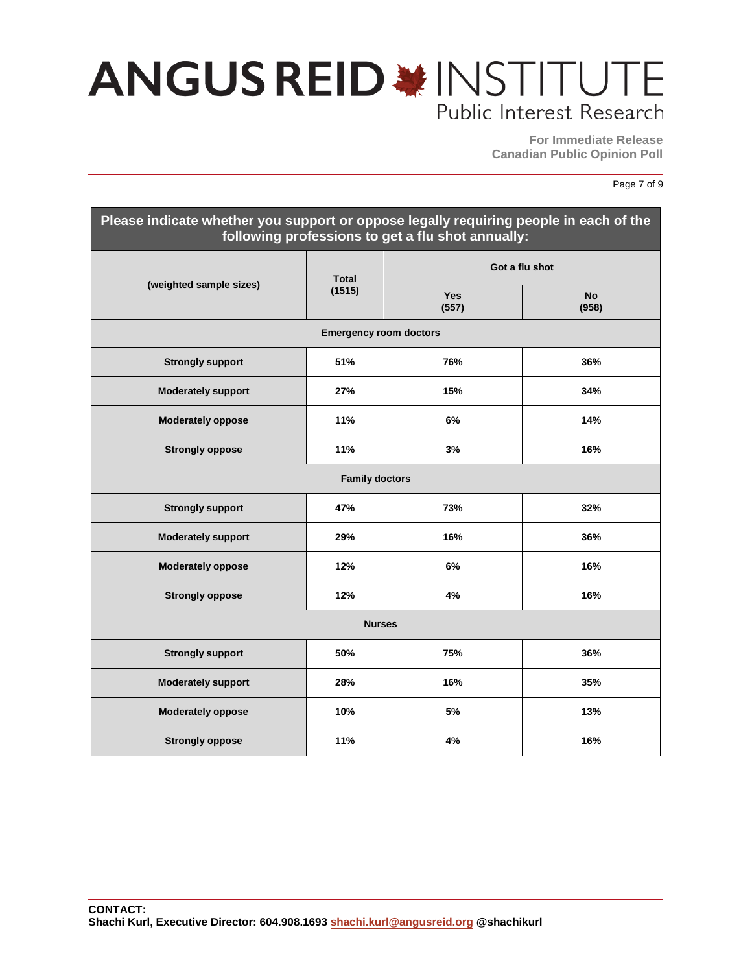**For Immediate Release Canadian Public Opinion Poll**

#### Page 7 of 9

| Please indicate whether you support or oppose legally requiring people in each of the<br>following professions to get a flu shot annually: |                        |                |                    |  |  |
|--------------------------------------------------------------------------------------------------------------------------------------------|------------------------|----------------|--------------------|--|--|
| (weighted sample sizes)                                                                                                                    | <b>Total</b><br>(1515) | Got a flu shot |                    |  |  |
|                                                                                                                                            |                        | Yes<br>(557)   | <b>No</b><br>(958) |  |  |
| <b>Emergency room doctors</b>                                                                                                              |                        |                |                    |  |  |
| <b>Strongly support</b>                                                                                                                    | 51%                    | 76%            | 36%                |  |  |
| <b>Moderately support</b>                                                                                                                  | 27%                    | 15%            | 34%                |  |  |
| <b>Moderately oppose</b>                                                                                                                   | 11%                    | 6%             | 14%                |  |  |
| <b>Strongly oppose</b>                                                                                                                     | 11%                    | 3%             | 16%                |  |  |
| <b>Family doctors</b>                                                                                                                      |                        |                |                    |  |  |
| <b>Strongly support</b>                                                                                                                    | 47%                    | 73%            | 32%                |  |  |
| <b>Moderately support</b>                                                                                                                  | 29%                    | 16%            | 36%                |  |  |
| <b>Moderately oppose</b>                                                                                                                   | 12%                    | 6%             | 16%                |  |  |
| <b>Strongly oppose</b>                                                                                                                     | 12%                    | 4%             | 16%                |  |  |
| <b>Nurses</b>                                                                                                                              |                        |                |                    |  |  |
| <b>Strongly support</b>                                                                                                                    | 50%                    | 75%            | 36%                |  |  |
| <b>Moderately support</b>                                                                                                                  | 28%                    | 16%            | 35%                |  |  |
| <b>Moderately oppose</b>                                                                                                                   | 10%                    | 5%             | 13%                |  |  |
| <b>Strongly oppose</b>                                                                                                                     | 11%                    | 4%             | 16%                |  |  |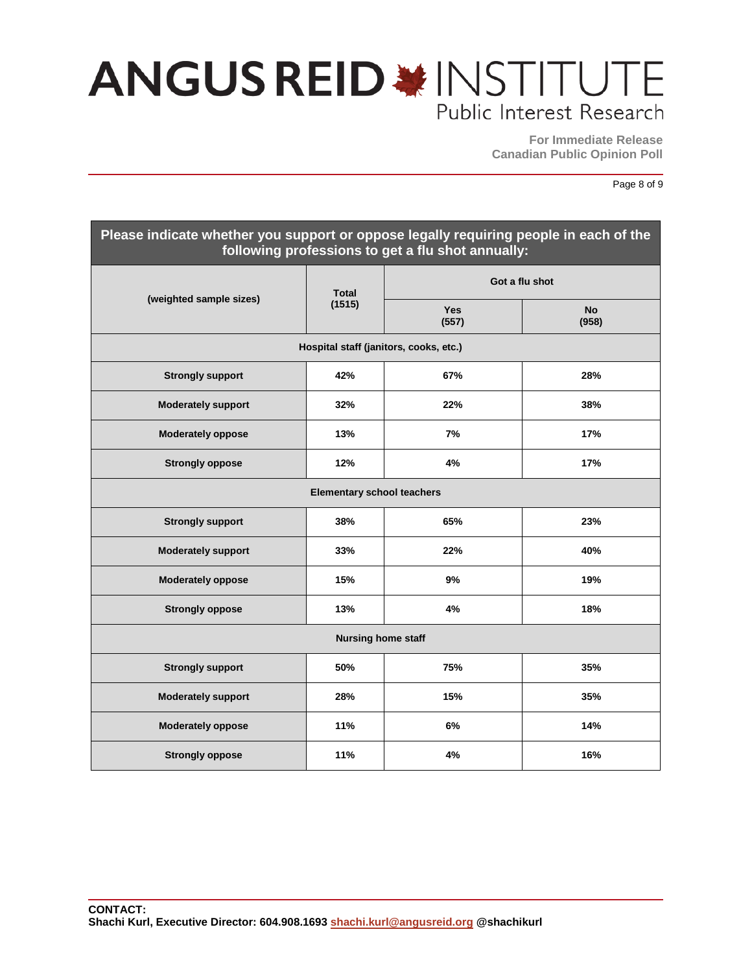**For Immediate Release Canadian Public Opinion Poll**

Page 8 of 9

| Please indicate whether you support or oppose legally requiring people in each of the<br>following professions to get a flu shot annually: |                        |                     |                    |  |  |  |
|--------------------------------------------------------------------------------------------------------------------------------------------|------------------------|---------------------|--------------------|--|--|--|
| (weighted sample sizes)                                                                                                                    | <b>Total</b><br>(1515) | Got a flu shot      |                    |  |  |  |
|                                                                                                                                            |                        | <b>Yes</b><br>(557) | <b>No</b><br>(958) |  |  |  |
| Hospital staff (janitors, cooks, etc.)                                                                                                     |                        |                     |                    |  |  |  |
| <b>Strongly support</b>                                                                                                                    | 42%                    | 67%                 | 28%                |  |  |  |
| <b>Moderately support</b>                                                                                                                  | 32%                    | 22%                 | 38%                |  |  |  |
| <b>Moderately oppose</b>                                                                                                                   | 13%                    | 7%                  | 17%                |  |  |  |
| <b>Strongly oppose</b>                                                                                                                     | 12%                    | 4%                  | 17%                |  |  |  |
| <b>Elementary school teachers</b>                                                                                                          |                        |                     |                    |  |  |  |
| <b>Strongly support</b>                                                                                                                    | 38%                    | 65%                 | 23%                |  |  |  |
| <b>Moderately support</b>                                                                                                                  | 33%                    | 22%                 | 40%                |  |  |  |
| <b>Moderately oppose</b>                                                                                                                   | 15%                    | 9%                  | 19%                |  |  |  |
| <b>Strongly oppose</b>                                                                                                                     | 13%                    | 4%                  | 18%                |  |  |  |
| <b>Nursing home staff</b>                                                                                                                  |                        |                     |                    |  |  |  |
| <b>Strongly support</b>                                                                                                                    | 50%                    | 75%                 | 35%                |  |  |  |
| <b>Moderately support</b>                                                                                                                  | 28%                    | 15%                 | 35%                |  |  |  |
| <b>Moderately oppose</b>                                                                                                                   | 11%                    | 6%                  | 14%                |  |  |  |
| <b>Strongly oppose</b>                                                                                                                     | 11%                    | 4%                  | 16%                |  |  |  |